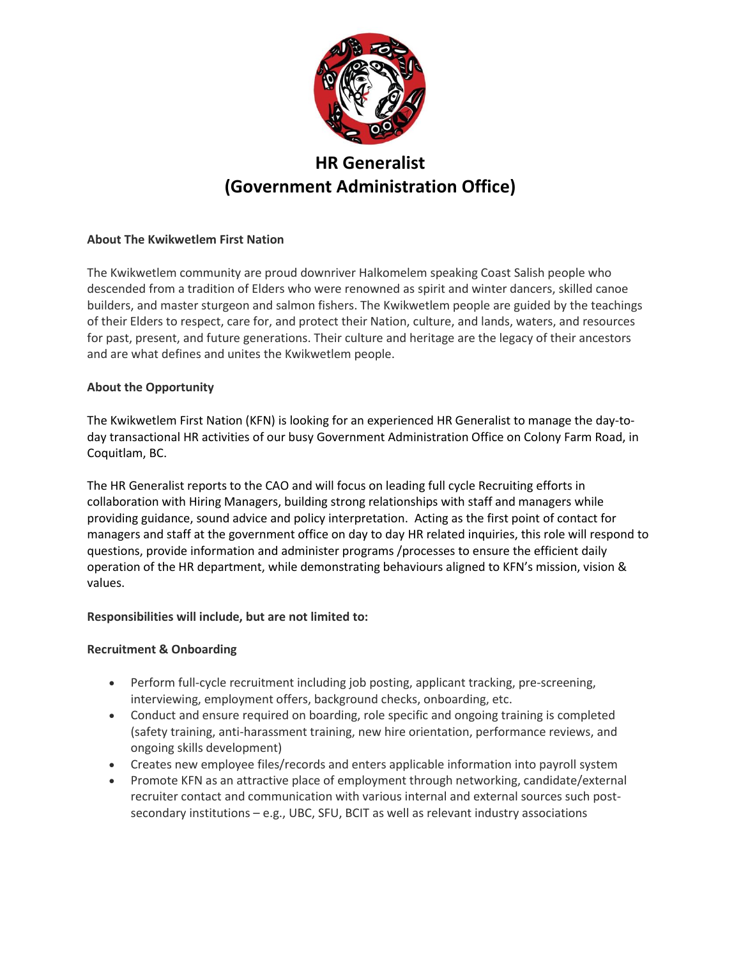

# **HR Generalist (Government Administration Office)**

## **About The Kwikwetlem First Nation**

The Kwikwetlem community are proud downriver Halkomelem speaking Coast Salish people who descended from a tradition of Elders who were renowned as spirit and winter dancers, skilled canoe builders, and master sturgeon and salmon fishers. The Kwikwetlem people are guided by the teachings of their Elders to respect, care for, and protect their Nation, culture, and lands, waters, and resources for past, present, and future generations. Their culture and heritage are the legacy of their ancestors and are what defines and unites the Kwikwetlem people.

## **About the Opportunity**

The Kwikwetlem First Nation (KFN) is looking for an experienced HR Generalist to manage the day-today transactional HR activities of our busy Government Administration Office on Colony Farm Road, in Coquitlam, BC.

The HR Generalist reports to the CAO and will focus on leading full cycle Recruiting efforts in collaboration with Hiring Managers, building strong relationships with staff and managers while providing guidance, sound advice and policy interpretation. Acting as the first point of contact for managers and staff at the government office on day to day HR related inquiries, this role will respond to questions, provide information and administer programs /processes to ensure the efficient daily operation of the HR department, while demonstrating behaviours aligned to KFN's mission, vision & values.

## **Responsibilities will include, but are not limited to:**

## **Recruitment & Onboarding**

- Perform full-cycle recruitment including job posting, applicant tracking, pre-screening, interviewing, employment offers, background checks, onboarding, etc.
- Conduct and ensure required on boarding, role specific and ongoing training is completed (safety training, anti-harassment training, new hire orientation, performance reviews, and ongoing skills development)
- Creates new employee files/records and enters applicable information into payroll system
- Promote KFN as an attractive place of employment through networking, candidate/external recruiter contact and communication with various internal and external sources such postsecondary institutions – e.g., UBC, SFU, BCIT as well as relevant industry associations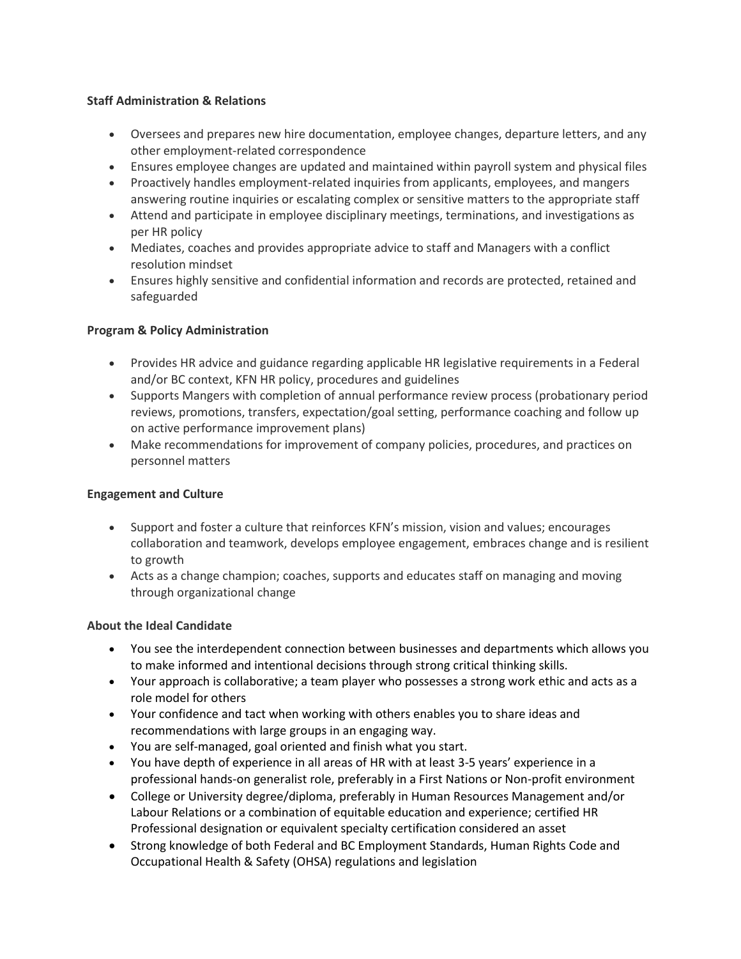## **Staff Administration & Relations**

- Oversees and prepares new hire documentation, employee changes, departure letters, and any other employment-related correspondence
- Ensures employee changes are updated and maintained within payroll system and physical files
- Proactively handles employment-related inquiries from applicants, employees, and mangers answering routine inquiries or escalating complex or sensitive matters to the appropriate staff
- Attend and participate in employee disciplinary meetings, terminations, and investigations as per HR policy
- Mediates, coaches and provides appropriate advice to staff and Managers with a conflict resolution mindset
- Ensures highly sensitive and confidential information and records are protected, retained and safeguarded

## **Program & Policy Administration**

- Provides HR advice and guidance regarding applicable HR legislative requirements in a Federal and/or BC context, KFN HR policy, procedures and guidelines
- Supports Mangers with completion of annual performance review process (probationary period reviews, promotions, transfers, expectation/goal setting, performance coaching and follow up on active performance improvement plans)
- Make recommendations for improvement of company policies, procedures, and practices on personnel matters

## **Engagement and Culture**

- Support and foster a culture that reinforces KFN's mission, vision and values; encourages collaboration and teamwork, develops employee engagement, embraces change and is resilient to growth
- Acts as a change champion; coaches, supports and educates staff on managing and moving through organizational change

# **About the Ideal Candidate**

- You see the interdependent connection between businesses and departments which allows you to make informed and intentional decisions through strong critical thinking skills.
- Your approach is collaborative; a team player who possesses a strong work ethic and acts as a role model for others
- Your confidence and tact when working with others enables you to share ideas and recommendations with large groups in an engaging way.
- You are self-managed, goal oriented and finish what you start.
- You have depth of experience in all areas of HR with at least 3-5 years' experience in a professional hands-on generalist role, preferably in a First Nations or Non-profit environment
- College or University degree/diploma, preferably in Human Resources Management and/or Labour Relations or a combination of equitable education and experience; certified HR Professional designation or equivalent specialty certification considered an asset
- Strong knowledge of both Federal and BC Employment Standards, Human Rights Code and Occupational Health & Safety (OHSA) regulations and legislation